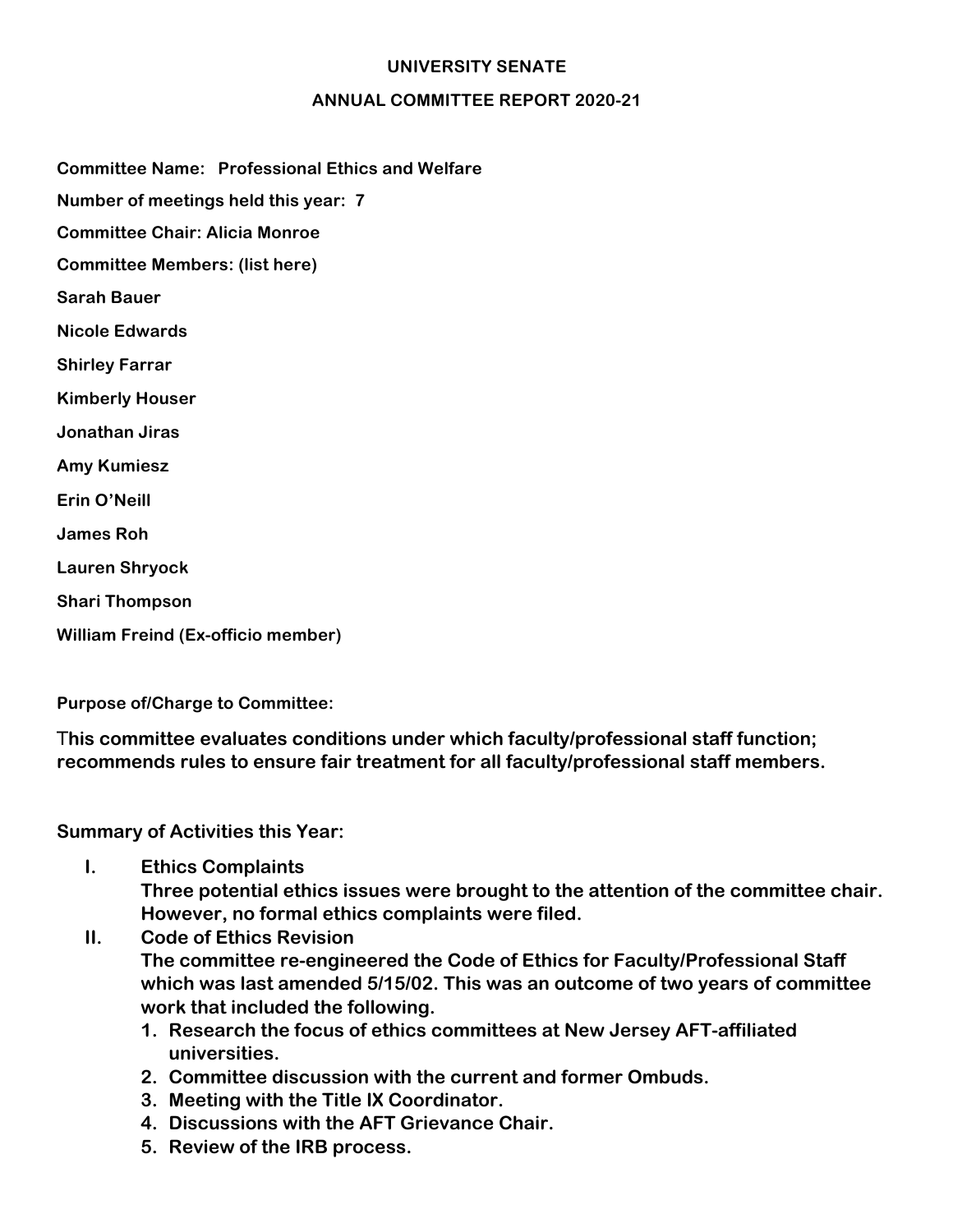## **UNIVERSITY SENATE**

## **ANNUAL COMMITTEE REPORT 2020-21**

**Committee Name: Professional Ethics and Welfare**

**Number of meetings held this year: 7**

**Committee Chair: Alicia Monroe**

**Committee Members: (list here)** 

**Sarah Bauer**

**Nicole Edwards**

**Shirley Farrar**

**Kimberly Houser**

**Jonathan Jiras**

**Amy Kumiesz**

**Erin O'Neill**

**James Roh**

**Lauren Shryock**

**Shari Thompson**

**William Freind (Ex-officio member)**

**Purpose of/Charge to Committee:** 

T**his committee evaluates conditions under which faculty/professional staff function; recommends rules to ensure fair treatment for all faculty/professional staff members.**

**Summary of Activities this Year:** 

**I. Ethics Complaints**

**Three potential ethics issues were brought to the attention of the committee chair. However, no formal ethics complaints were filed.**

- **II. Code of Ethics Revision The committee re-engineered the Code of Ethics for Faculty/Professional Staff which was last amended 5/15/02. This was an outcome of two years of committee work that included the following.**
	- **1. Research the focus of ethics committees at New Jersey AFT-affiliated universities.**
	- **2. Committee discussion with the current and former Ombuds.**
	- **3. Meeting with the Title IX Coordinator.**
	- **4. Discussions with the AFT Grievance Chair.**
	- **5. Review of the IRB process.**